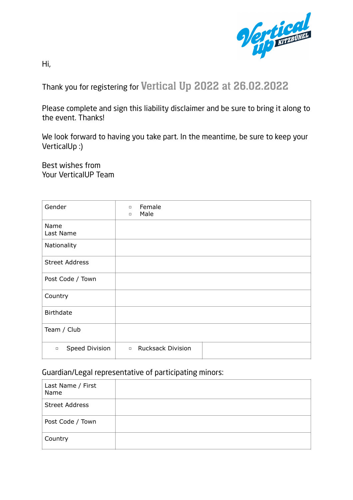

Hi,

Thank you for registering for Vertical Up 2022 at 26.02.2022

Please complete and sign this liability disclaimer and be sure to bring it along to the event. Thanks!

We look forward to having you take part. In the meantime, be sure to keep your VerticalUp :)

Best wishes from Your VerticalUP Team

| Gender                   | Female<br>$\Box$<br>Male<br>$\Box$ |
|--------------------------|------------------------------------|
| Name<br>Last Name        |                                    |
| Nationality              |                                    |
| <b>Street Address</b>    |                                    |
| Post Code / Town         |                                    |
| Country                  |                                    |
| <b>Birthdate</b>         |                                    |
| Team / Club              |                                    |
| Speed Division<br>$\Box$ | <b>Rucksack Division</b><br>$\Box$ |

## Guardian/Legal representative of participating minors:

| Last Name / First<br>Name |  |
|---------------------------|--|
| <b>Street Address</b>     |  |
| Post Code / Town          |  |
| Country                   |  |